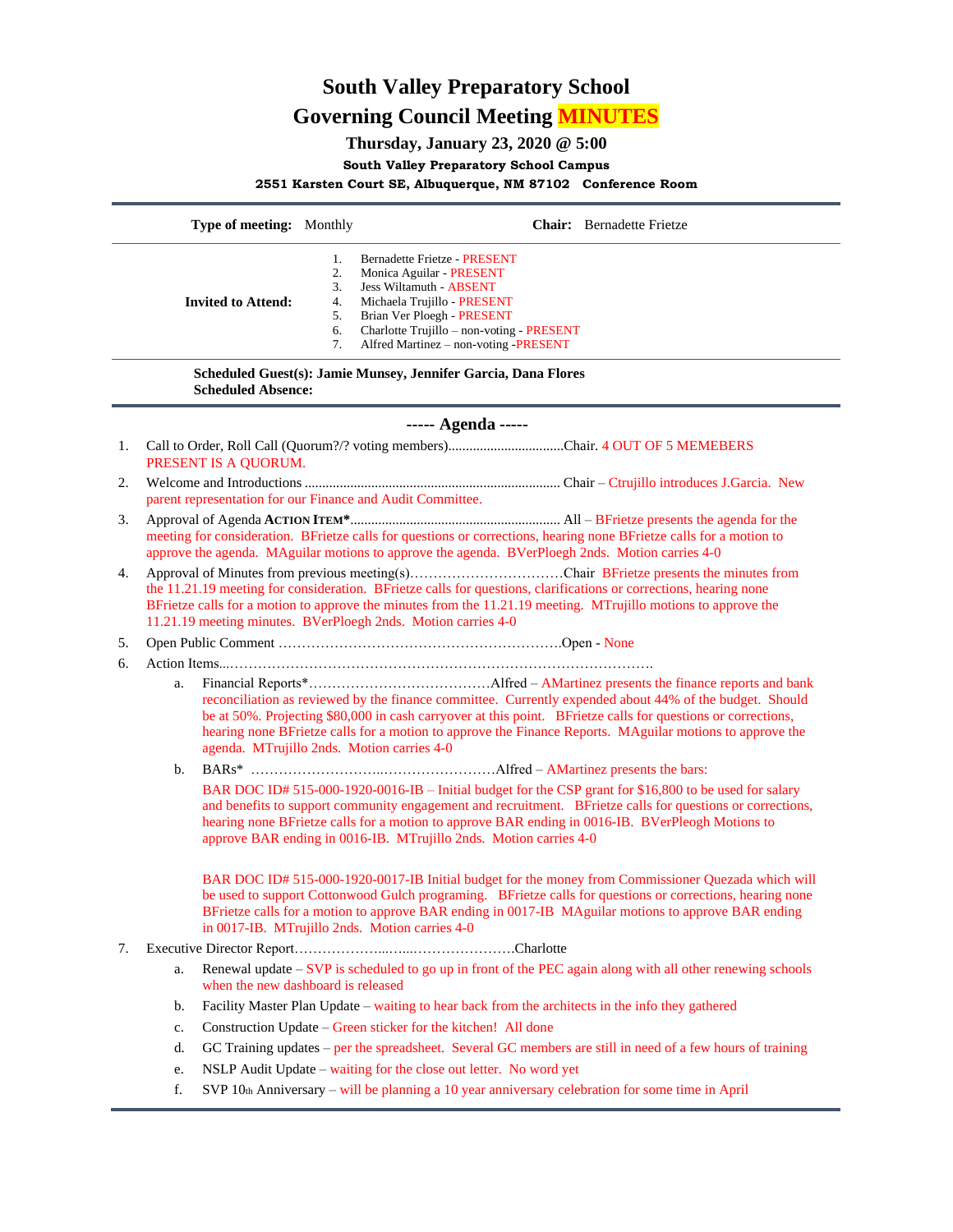# **South Valley Preparatory School Governing Council Meeting MINUTES**

## **Thursday, January 23, 2020 @ 5:00**

### **South Valley Preparatory School Campus**

### **2551 Karsten Court SE, Albuquerque, NM 87102 Conference Room**

|                                                                                             | Type of meeting: Monthly                                                                                                                                                                                                                                                                             |                                                                                                                                                                                                                                                                                                                                                                                               |                                                                                                                                                                                                                                               | <b>Chair:</b> Bernadette Frietze                                                                                                                                                                                                                                                                                       |  |
|---------------------------------------------------------------------------------------------|------------------------------------------------------------------------------------------------------------------------------------------------------------------------------------------------------------------------------------------------------------------------------------------------------|-----------------------------------------------------------------------------------------------------------------------------------------------------------------------------------------------------------------------------------------------------------------------------------------------------------------------------------------------------------------------------------------------|-----------------------------------------------------------------------------------------------------------------------------------------------------------------------------------------------------------------------------------------------|------------------------------------------------------------------------------------------------------------------------------------------------------------------------------------------------------------------------------------------------------------------------------------------------------------------------|--|
|                                                                                             | <b>Invited to Attend:</b>                                                                                                                                                                                                                                                                            | 1.<br>2.<br>3.<br>4.<br>5.<br>6.<br>7.                                                                                                                                                                                                                                                                                                                                                        | Bernadette Frietze - PRESENT<br>Monica Aguilar - PRESENT<br><b>Jess Wiltamuth - ABSENT</b><br>Michaela Trujillo - PRESENT<br>Brian Ver Ploegh - PRESENT<br>Charlotte Trujillo - non-voting - PRESENT<br>Alfred Martinez - non-voting -PRESENT |                                                                                                                                                                                                                                                                                                                        |  |
| Scheduled Guest(s): Jamie Munsey, Jennifer Garcia, Dana Flores<br><b>Scheduled Absence:</b> |                                                                                                                                                                                                                                                                                                      |                                                                                                                                                                                                                                                                                                                                                                                               |                                                                                                                                                                                                                                               |                                                                                                                                                                                                                                                                                                                        |  |
| ----- Agenda -----                                                                          |                                                                                                                                                                                                                                                                                                      |                                                                                                                                                                                                                                                                                                                                                                                               |                                                                                                                                                                                                                                               |                                                                                                                                                                                                                                                                                                                        |  |
| 1.                                                                                          | PRESENT IS A QUORUM.                                                                                                                                                                                                                                                                                 | Call to Order, Roll Call (Quorum?/? voting members)Chair. 4 OUT OF 5 MEMEBERS                                                                                                                                                                                                                                                                                                                 |                                                                                                                                                                                                                                               |                                                                                                                                                                                                                                                                                                                        |  |
| 2.                                                                                          |                                                                                                                                                                                                                                                                                                      | parent representation for our Finance and Audit Committee.                                                                                                                                                                                                                                                                                                                                    |                                                                                                                                                                                                                                               |                                                                                                                                                                                                                                                                                                                        |  |
| 3.                                                                                          |                                                                                                                                                                                                                                                                                                      | meeting for consideration. BFrietze calls for questions or corrections, hearing none BFrietze calls for a motion to<br>approve the agenda. MAguilar motions to approve the agenda. BVerPloegh 2nds. Motion carries 4-0                                                                                                                                                                        |                                                                                                                                                                                                                                               |                                                                                                                                                                                                                                                                                                                        |  |
| 4.                                                                                          | the 11.21.19 meeting for consideration. BFrietze calls for questions, clarifications or corrections, hearing none<br>BFrietze calls for a motion to approve the minutes from the 11.21.19 meeting. MTrujillo motions to approve the<br>11.21.19 meeting minutes. BVerPloegh 2nds. Motion carries 4-0 |                                                                                                                                                                                                                                                                                                                                                                                               |                                                                                                                                                                                                                                               |                                                                                                                                                                                                                                                                                                                        |  |
| 5.                                                                                          |                                                                                                                                                                                                                                                                                                      |                                                                                                                                                                                                                                                                                                                                                                                               |                                                                                                                                                                                                                                               |                                                                                                                                                                                                                                                                                                                        |  |
| 6.                                                                                          |                                                                                                                                                                                                                                                                                                      |                                                                                                                                                                                                                                                                                                                                                                                               |                                                                                                                                                                                                                                               |                                                                                                                                                                                                                                                                                                                        |  |
|                                                                                             | a.                                                                                                                                                                                                                                                                                                   | reconciliation as reviewed by the finance committee. Currently expended about 44% of the budget. Should<br>be at 50%. Projecting \$80,000 in cash carryover at this point. BFrietze calls for questions or corrections,<br>hearing none BFrietze calls for a motion to approve the Finance Reports. MAguilar motions to approve the<br>agenda. MTrujillo 2nds. Motion carries 4-0             |                                                                                                                                                                                                                                               |                                                                                                                                                                                                                                                                                                                        |  |
|                                                                                             | $h_{\cdot}$                                                                                                                                                                                                                                                                                          |                                                                                                                                                                                                                                                                                                                                                                                               |                                                                                                                                                                                                                                               |                                                                                                                                                                                                                                                                                                                        |  |
|                                                                                             |                                                                                                                                                                                                                                                                                                      | BAR DOC ID# 515-000-1920-0016-IB – Initial budget for the CSP grant for \$16,800 to be used for salary<br>and benefits to support community engagement and recruitment. BFrietze calls for questions or corrections,<br>hearing none BFrietze calls for a motion to approve BAR ending in 0016-IB. BVerPleogh Motions to<br>approve BAR ending in 0016-IB. MTrujillo 2nds. Motion carries 4-0 |                                                                                                                                                                                                                                               |                                                                                                                                                                                                                                                                                                                        |  |
|                                                                                             |                                                                                                                                                                                                                                                                                                      | in 0017-IB. MTrujillo 2nds. Motion carries 4-0                                                                                                                                                                                                                                                                                                                                                |                                                                                                                                                                                                                                               | BAR DOC ID# 515-000-1920-0017-IB Initial budget for the money from Commissioner Quezada which will<br>be used to support Cottonwood Gulch programing. BFrietze calls for questions or corrections, hearing none<br>BFrietze calls for a motion to approve BAR ending in 0017-IB MAguilar motions to approve BAR ending |  |
| 7.                                                                                          |                                                                                                                                                                                                                                                                                                      |                                                                                                                                                                                                                                                                                                                                                                                               |                                                                                                                                                                                                                                               |                                                                                                                                                                                                                                                                                                                        |  |
|                                                                                             | a.                                                                                                                                                                                                                                                                                                   | when the new dashboard is released                                                                                                                                                                                                                                                                                                                                                            |                                                                                                                                                                                                                                               | Renewal update $-SVP$ is scheduled to go up in front of the PEC again along with all other renewing schools                                                                                                                                                                                                            |  |
|                                                                                             | b.                                                                                                                                                                                                                                                                                                   | Facility Master Plan Update – waiting to hear back from the architects in the info they gathered                                                                                                                                                                                                                                                                                              |                                                                                                                                                                                                                                               |                                                                                                                                                                                                                                                                                                                        |  |
|                                                                                             | c.                                                                                                                                                                                                                                                                                                   | Construction Update – Green sticker for the kitchen! All done                                                                                                                                                                                                                                                                                                                                 |                                                                                                                                                                                                                                               |                                                                                                                                                                                                                                                                                                                        |  |
|                                                                                             | d.                                                                                                                                                                                                                                                                                                   |                                                                                                                                                                                                                                                                                                                                                                                               |                                                                                                                                                                                                                                               | GC Training updates – per the spreadsheet. Several GC members are still in need of a few hours of training                                                                                                                                                                                                             |  |
|                                                                                             | e.                                                                                                                                                                                                                                                                                                   |                                                                                                                                                                                                                                                                                                                                                                                               | NSLP Audit Update - waiting for the close out letter. No word yet                                                                                                                                                                             |                                                                                                                                                                                                                                                                                                                        |  |
|                                                                                             | f.                                                                                                                                                                                                                                                                                                   |                                                                                                                                                                                                                                                                                                                                                                                               | SVP 10th Anniversary - will be planning a 10 year anniversary celebration for some time in April                                                                                                                                              |                                                                                                                                                                                                                                                                                                                        |  |